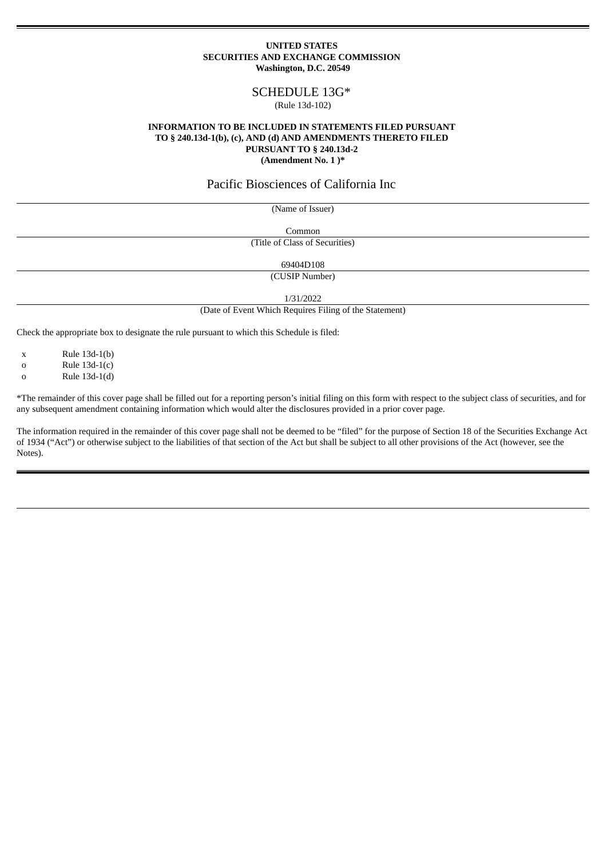## **UNITED STATES SECURITIES AND EXCHANGE COMMISSION Washington, D.C. 20549**

# SCHEDULE 13G\*

### (Rule 13d-102)

## **INFORMATION TO BE INCLUDED IN STATEMENTS FILED PURSUANT TO § 240.13d-1(b), (c), AND (d) AND AMENDMENTS THERETO FILED PURSUANT TO § 240.13d-2 (Amendment No. 1 )\***

## Pacific Biosciences of California Inc

(Name of Issuer)

Common

(Title of Class of Securities)

69404D108

(CUSIP Number)

1/31/2022

(Date of Event Which Requires Filing of the Statement)

Check the appropriate box to designate the rule pursuant to which this Schedule is filed:

x Rule 13d-1(b)

o Rule 13d-1(c)

 $a = \text{Rule } 13d-1(d)$ 

\*The remainder of this cover page shall be filled out for a reporting person's initial filing on this form with respect to the subject class of securities, and for any subsequent amendment containing information which would alter the disclosures provided in a prior cover page.

The information required in the remainder of this cover page shall not be deemed to be "filed" for the purpose of Section 18 of the Securities Exchange Act of 1934 ("Act") or otherwise subject to the liabilities of that section of the Act but shall be subject to all other provisions of the Act (however, see the Notes).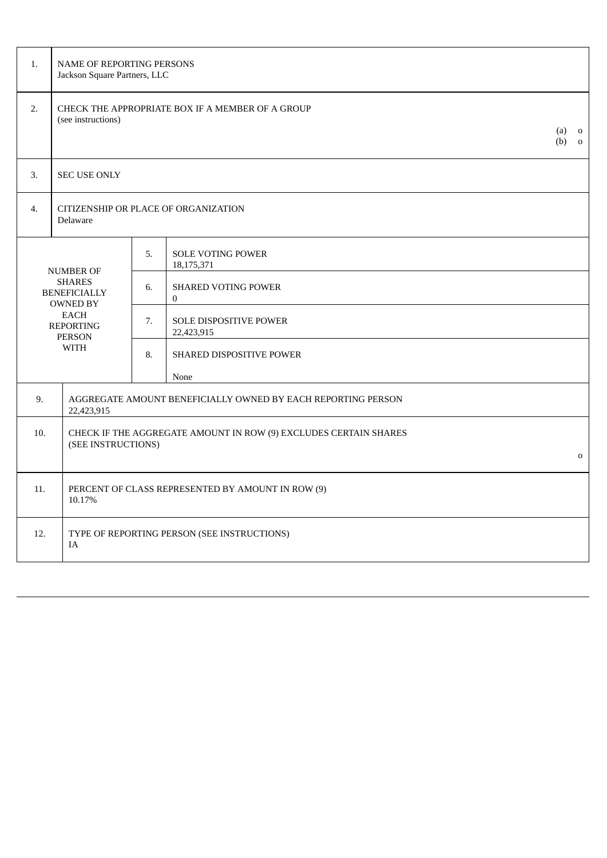| 1.  | NAME OF REPORTING PERSONS<br>Jackson Square Partners, LLC                                                                                      |                                                                  |                                              |  |             |
|-----|------------------------------------------------------------------------------------------------------------------------------------------------|------------------------------------------------------------------|----------------------------------------------|--|-------------|
| 2.  | CHECK THE APPROPRIATE BOX IF A MEMBER OF A GROUP<br>(see instructions)                                                                         |                                                                  |                                              |  |             |
| 3.  | <b>SEC USE ONLY</b>                                                                                                                            |                                                                  |                                              |  |             |
| 4.  | CITIZENSHIP OR PLACE OF ORGANIZATION<br>Delaware                                                                                               |                                                                  |                                              |  |             |
|     |                                                                                                                                                | 5.                                                               | <b>SOLE VOTING POWER</b><br>18,175,371       |  |             |
|     | <b>NUMBER OF</b><br><b>SHARES</b><br><b>BENEFICIALLY</b><br><b>OWNED BY</b><br><b>EACH</b><br><b>REPORTING</b><br><b>PERSON</b><br><b>WITH</b> |                                                                  | <b>SHARED VOTING POWER</b><br>$\overline{0}$ |  |             |
|     |                                                                                                                                                |                                                                  | <b>SOLE DISPOSITIVE POWER</b><br>22,423,915  |  |             |
|     |                                                                                                                                                |                                                                  | SHARED DISPOSITIVE POWER                     |  |             |
|     |                                                                                                                                                |                                                                  | None                                         |  |             |
| 9.  | AGGREGATE AMOUNT BENEFICIALLY OWNED BY EACH REPORTING PERSON<br>22,423,915                                                                     |                                                                  |                                              |  |             |
| 10. |                                                                                                                                                | CHECK IF THE AGGREGATE AMOUNT IN ROW (9) EXCLUDES CERTAIN SHARES |                                              |  |             |
|     | (SEE INSTRUCTIONS)                                                                                                                             |                                                                  |                                              |  | $\mathbf 0$ |
| 11. | PERCENT OF CLASS REPRESENTED BY AMOUNT IN ROW (9)<br>10.17%                                                                                    |                                                                  |                                              |  |             |
| 12. | TYPE OF REPORTING PERSON (SEE INSTRUCTIONS)<br>IA                                                                                              |                                                                  |                                              |  |             |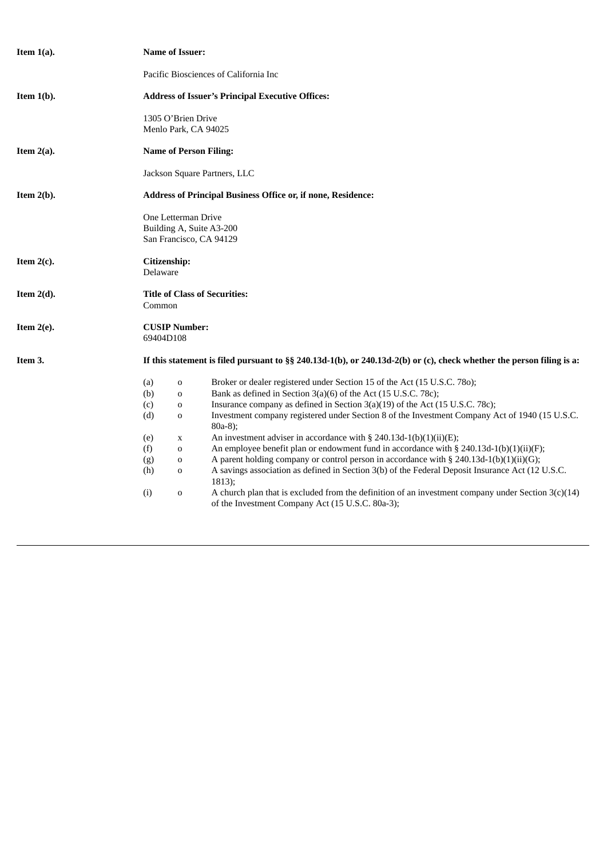| Item $1(a)$ . | <b>Name of Issuer:</b>                                                                                                                                                                                                                                                                                                                                                                                                                                                                                                                                                                                                                                                                                                                                                                                                                                                                                                                                                                                                                         |  |  |  |  |  |  |
|---------------|------------------------------------------------------------------------------------------------------------------------------------------------------------------------------------------------------------------------------------------------------------------------------------------------------------------------------------------------------------------------------------------------------------------------------------------------------------------------------------------------------------------------------------------------------------------------------------------------------------------------------------------------------------------------------------------------------------------------------------------------------------------------------------------------------------------------------------------------------------------------------------------------------------------------------------------------------------------------------------------------------------------------------------------------|--|--|--|--|--|--|
|               | Pacific Biosciences of California Inc                                                                                                                                                                                                                                                                                                                                                                                                                                                                                                                                                                                                                                                                                                                                                                                                                                                                                                                                                                                                          |  |  |  |  |  |  |
| Item $1(b)$ . | <b>Address of Issuer's Principal Executive Offices:</b>                                                                                                                                                                                                                                                                                                                                                                                                                                                                                                                                                                                                                                                                                                                                                                                                                                                                                                                                                                                        |  |  |  |  |  |  |
|               | 1305 O'Brien Drive<br>Menlo Park, CA 94025                                                                                                                                                                                                                                                                                                                                                                                                                                                                                                                                                                                                                                                                                                                                                                                                                                                                                                                                                                                                     |  |  |  |  |  |  |
| Item $2(a)$ . | <b>Name of Person Filing:</b>                                                                                                                                                                                                                                                                                                                                                                                                                                                                                                                                                                                                                                                                                                                                                                                                                                                                                                                                                                                                                  |  |  |  |  |  |  |
|               | Jackson Square Partners, LLC                                                                                                                                                                                                                                                                                                                                                                                                                                                                                                                                                                                                                                                                                                                                                                                                                                                                                                                                                                                                                   |  |  |  |  |  |  |
| Item $2(b)$ . | Address of Principal Business Office or, if none, Residence:                                                                                                                                                                                                                                                                                                                                                                                                                                                                                                                                                                                                                                                                                                                                                                                                                                                                                                                                                                                   |  |  |  |  |  |  |
|               | One Letterman Drive<br>Building A, Suite A3-200<br>San Francisco, CA 94129                                                                                                                                                                                                                                                                                                                                                                                                                                                                                                                                                                                                                                                                                                                                                                                                                                                                                                                                                                     |  |  |  |  |  |  |
| Item $2(c)$ . | Citizenship:<br>Delaware                                                                                                                                                                                                                                                                                                                                                                                                                                                                                                                                                                                                                                                                                                                                                                                                                                                                                                                                                                                                                       |  |  |  |  |  |  |
| Item $2(d)$ . | <b>Title of Class of Securities:</b><br>Common                                                                                                                                                                                                                                                                                                                                                                                                                                                                                                                                                                                                                                                                                                                                                                                                                                                                                                                                                                                                 |  |  |  |  |  |  |
| Item $2(e)$ . | <b>CUSIP Number:</b><br>69404D108                                                                                                                                                                                                                                                                                                                                                                                                                                                                                                                                                                                                                                                                                                                                                                                                                                                                                                                                                                                                              |  |  |  |  |  |  |
| Item 3.       | If this statement is filed pursuant to §§ 240.13d-1(b), or 240.13d-2(b) or (c), check whether the person filing is a:                                                                                                                                                                                                                                                                                                                                                                                                                                                                                                                                                                                                                                                                                                                                                                                                                                                                                                                          |  |  |  |  |  |  |
|               | Broker or dealer registered under Section 15 of the Act (15 U.S.C. 780);<br>(a)<br>$\mathbf 0$<br>Bank as defined in Section 3(a)(6) of the Act (15 U.S.C. 78c);<br>(b)<br>$\mathbf 0$<br>Insurance company as defined in Section 3(a)(19) of the Act (15 U.S.C. 78c);<br>(c)<br>$\mathbf 0$<br>(d)<br>Investment company registered under Section 8 of the Investment Company Act of 1940 (15 U.S.C.<br>$\mathbf 0$<br>$80a-8$ );<br>An investment adviser in accordance with § 240.13d-1(b)(1)(ii)(E);<br>(e)<br>X<br>An employee benefit plan or endowment fund in accordance with § 240.13d-1(b)(1)(ii)(F);<br>(f)<br>0<br>A parent holding company or control person in accordance with § 240.13d-1(b)(1)(ii)(G);<br>(g)<br>0<br>(h)<br>A savings association as defined in Section 3(b) of the Federal Deposit Insurance Act (12 U.S.C.<br>0<br>1813);<br>(i)<br>A church plan that is excluded from the definition of an investment company under Section $3(c)(14)$<br>$\mathbf O$<br>of the Investment Company Act (15 U.S.C. 80a-3); |  |  |  |  |  |  |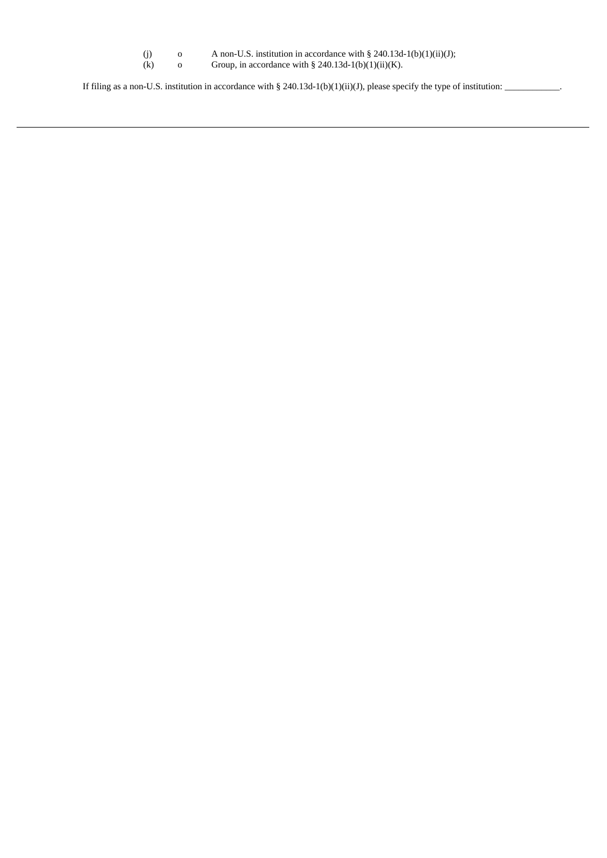| (i) | A non-U.S. institution in accordance with $\S$ 240.13d-1(b)(1)(ii)(J); |
|-----|------------------------------------------------------------------------|
| (k) | Group, in accordance with $\S$ 240.13d-1(b)(1)(ii)(K).                 |

If filing as a non-U.S. institution in accordance with § 240.13d-1(b)(1)(ii)(J), please specify the type of institution: \_\_\_\_\_\_\_\_\_\_\_\_\_.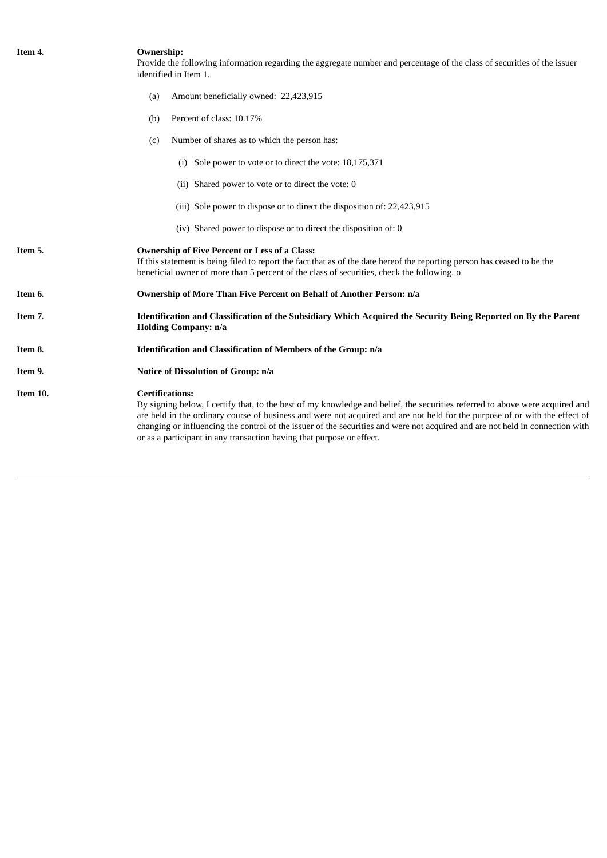| Item 4.  | <b>Ownership:</b><br>Provide the following information regarding the aggregate number and percentage of the class of securities of the issuer<br>identified in Item 1.                                                                                                                                                                                                                                                                                                                          |  |  |
|----------|-------------------------------------------------------------------------------------------------------------------------------------------------------------------------------------------------------------------------------------------------------------------------------------------------------------------------------------------------------------------------------------------------------------------------------------------------------------------------------------------------|--|--|
|          | Amount beneficially owned: 22,423,915<br>(a)                                                                                                                                                                                                                                                                                                                                                                                                                                                    |  |  |
|          | Percent of class: 10.17%<br>(b)                                                                                                                                                                                                                                                                                                                                                                                                                                                                 |  |  |
|          | Number of shares as to which the person has:<br>(c)                                                                                                                                                                                                                                                                                                                                                                                                                                             |  |  |
|          | (i) Sole power to vote or to direct the vote: 18,175,371                                                                                                                                                                                                                                                                                                                                                                                                                                        |  |  |
|          | (ii) Shared power to vote or to direct the vote: 0                                                                                                                                                                                                                                                                                                                                                                                                                                              |  |  |
|          | (iii) Sole power to dispose or to direct the disposition of: 22,423,915                                                                                                                                                                                                                                                                                                                                                                                                                         |  |  |
|          | (iv) Shared power to dispose or to direct the disposition of: 0                                                                                                                                                                                                                                                                                                                                                                                                                                 |  |  |
| Item 5.  | <b>Ownership of Five Percent or Less of a Class:</b><br>If this statement is being filed to report the fact that as of the date hereof the reporting person has ceased to be the<br>beneficial owner of more than 5 percent of the class of securities, check the following. o                                                                                                                                                                                                                  |  |  |
| Item 6.  | Ownership of More Than Five Percent on Behalf of Another Person: n/a                                                                                                                                                                                                                                                                                                                                                                                                                            |  |  |
| Item 7.  | Identification and Classification of the Subsidiary Which Acquired the Security Being Reported on By the Parent<br><b>Holding Company: n/a</b>                                                                                                                                                                                                                                                                                                                                                  |  |  |
| Item 8.  | Identification and Classification of Members of the Group: n/a<br>Notice of Dissolution of Group: n/a                                                                                                                                                                                                                                                                                                                                                                                           |  |  |
| Item 9.  |                                                                                                                                                                                                                                                                                                                                                                                                                                                                                                 |  |  |
| Item 10. | <b>Certifications:</b><br>By signing below, I certify that, to the best of my knowledge and belief, the securities referred to above were acquired and<br>are held in the ordinary course of business and were not acquired and are not held for the purpose of or with the effect of<br>changing or influencing the control of the issuer of the securities and were not acquired and are not held in connection with<br>or as a participant in any transaction having that purpose or effect. |  |  |